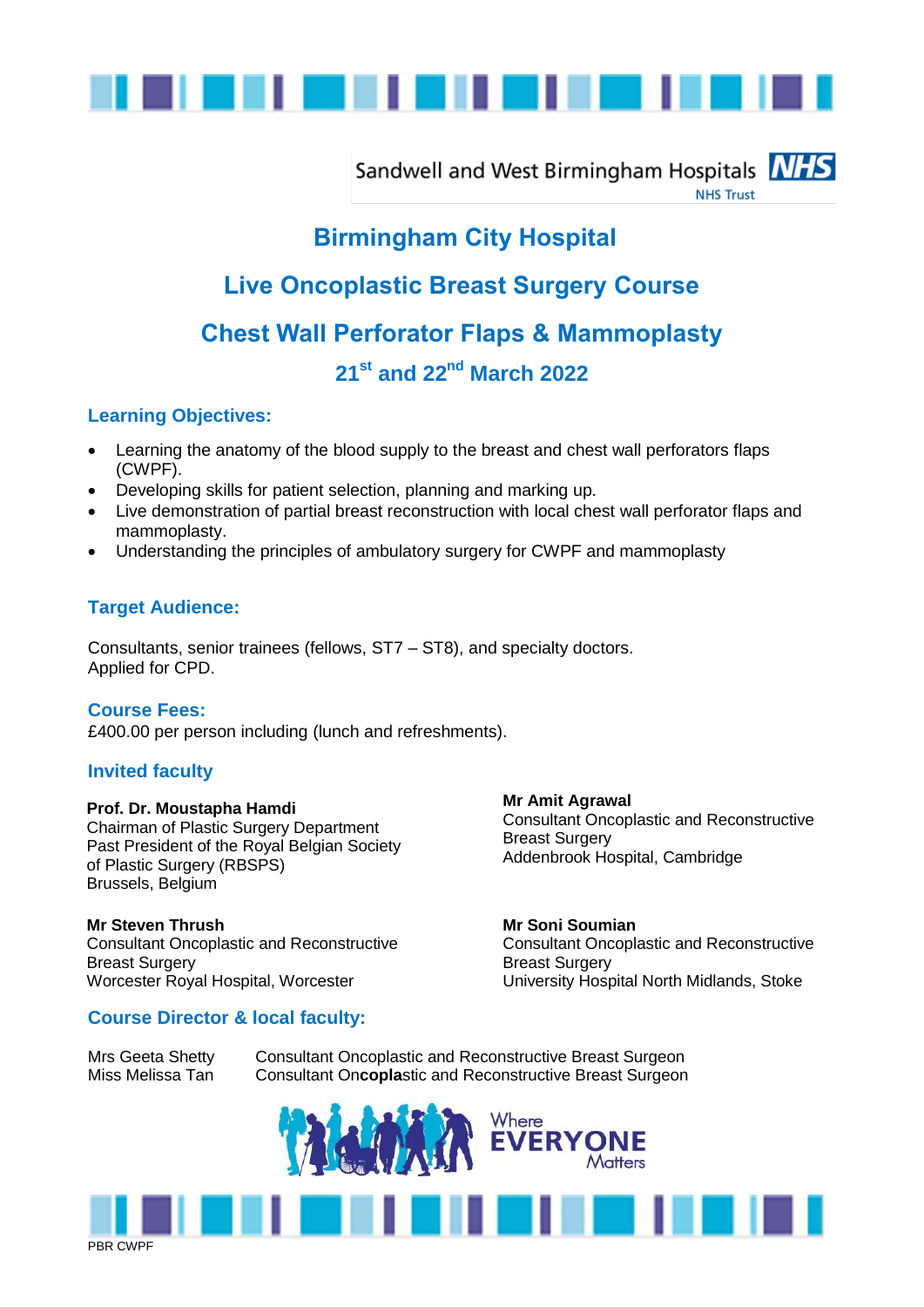

Sandwell and West Birmingham Hospitals **NHS NHS Trust** 

# **Birmingham City Hospital**

# **Live Oncoplastic Breast Surgery Course Chest Wall Perforator Flaps & Mammoplasty**

# **21st and 22nd March 2022**

## **Learning Objectives:**

- Learning the anatomy of the blood supply to the breast and chest wall perforators flaps (CWPF).
- Developing skills for patient selection, planning and marking up.
- Live demonstration of partial breast reconstruction with local chest wall perforator flaps and mammoplasty.
- Understanding the principles of ambulatory surgery for CWPF and mammoplasty

## **Target Audience:**

Consultants, senior trainees (fellows, ST7 – ST8), and specialty doctors. Applied for CPD.

#### **Course Fees:**

£400.00 per person including (lunch and refreshments).

#### **Invited faculty**

#### **Prof. Dr. Moustapha Hamdi**

Chairman of Plastic Surgery Department Past President of the Royal Belgian Society of Plastic Surgery (RBSPS) Brussels, Belgium

#### **Mr Steven Thrush**

Consultant Oncoplastic and Reconstructive Breast Surgery Worcester Royal Hospital, Worcester

#### **Course Director & local faculty:**

**Mr Amit Agrawal** Consultant Oncoplastic and Reconstructive Breast Surgery Addenbrook Hospital, Cambridge

**Mr Soni Soumian** Consultant Oncoplastic and Reconstructive Breast Surgery University Hospital North Midlands, Stoke

Mrs Geeta Shetty Consultant Oncoplastic and Reconstructive Breast Surgeon Miss Melissa Tan Consultant On**copla**stic and Reconstructive Breast Surgeon



PBR CWPF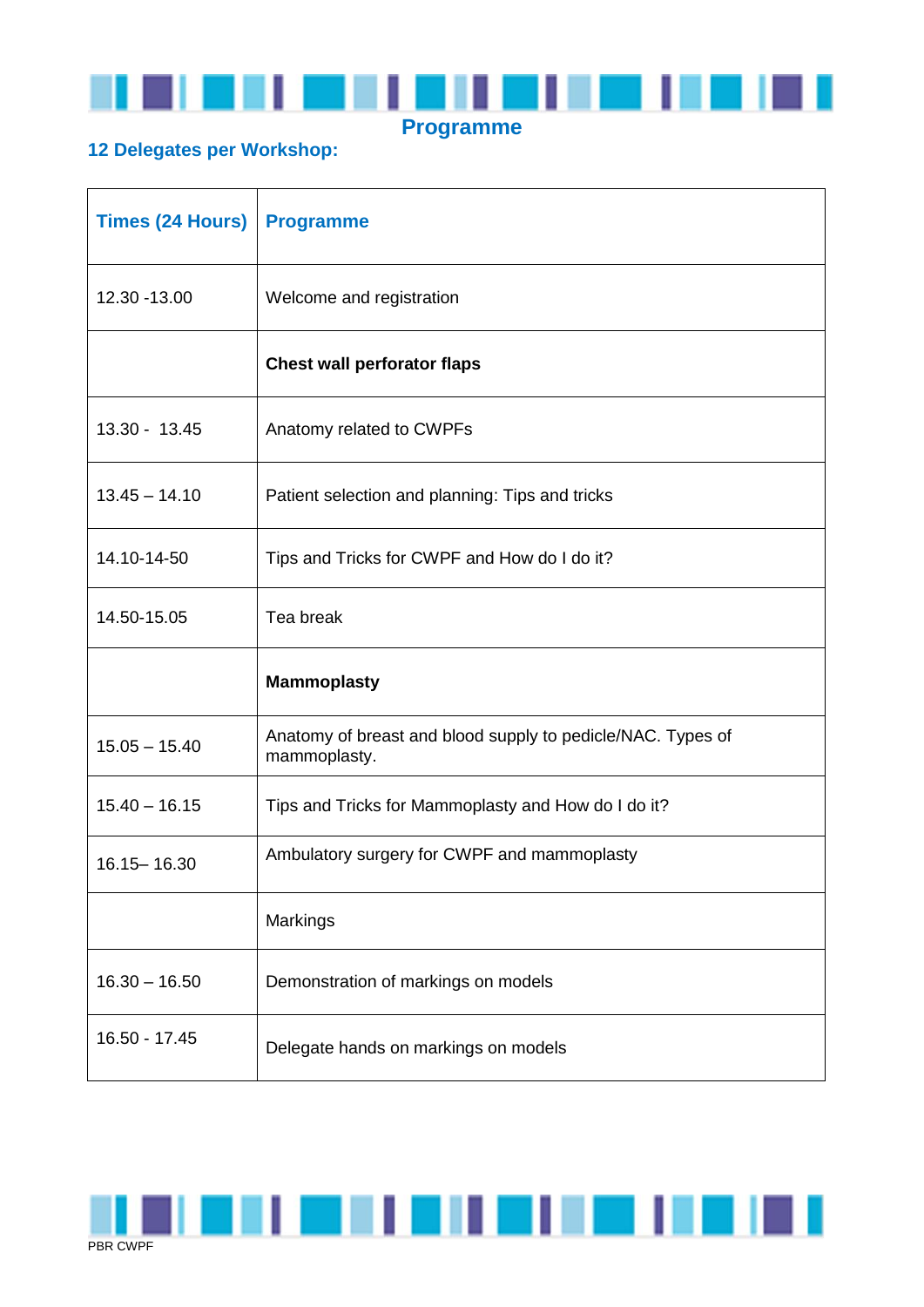

# **12 Delegates per Workshop:**

| <b>Times (24 Hours)</b> | <b>Programme</b>                                                            |
|-------------------------|-----------------------------------------------------------------------------|
| 12.30 - 13.00           | Welcome and registration                                                    |
|                         | <b>Chest wall perforator flaps</b>                                          |
| 13.30 - 13.45           | Anatomy related to CWPFs                                                    |
| $13.45 - 14.10$         | Patient selection and planning: Tips and tricks                             |
| 14.10-14-50             | Tips and Tricks for CWPF and How do I do it?                                |
| 14.50-15.05             | Tea break                                                                   |
|                         | <b>Mammoplasty</b>                                                          |
| $15.05 - 15.40$         | Anatomy of breast and blood supply to pedicle/NAC. Types of<br>mammoplasty. |
| $15.40 - 16.15$         | Tips and Tricks for Mammoplasty and How do I do it?                         |
| 16.15 - 16.30           | Ambulatory surgery for CWPF and mammoplasty                                 |
|                         | Markings                                                                    |
| $16.30 - 16.50$         | Demonstration of markings on models                                         |
| 16.50 - 17.45           | Delegate hands on markings on models                                        |

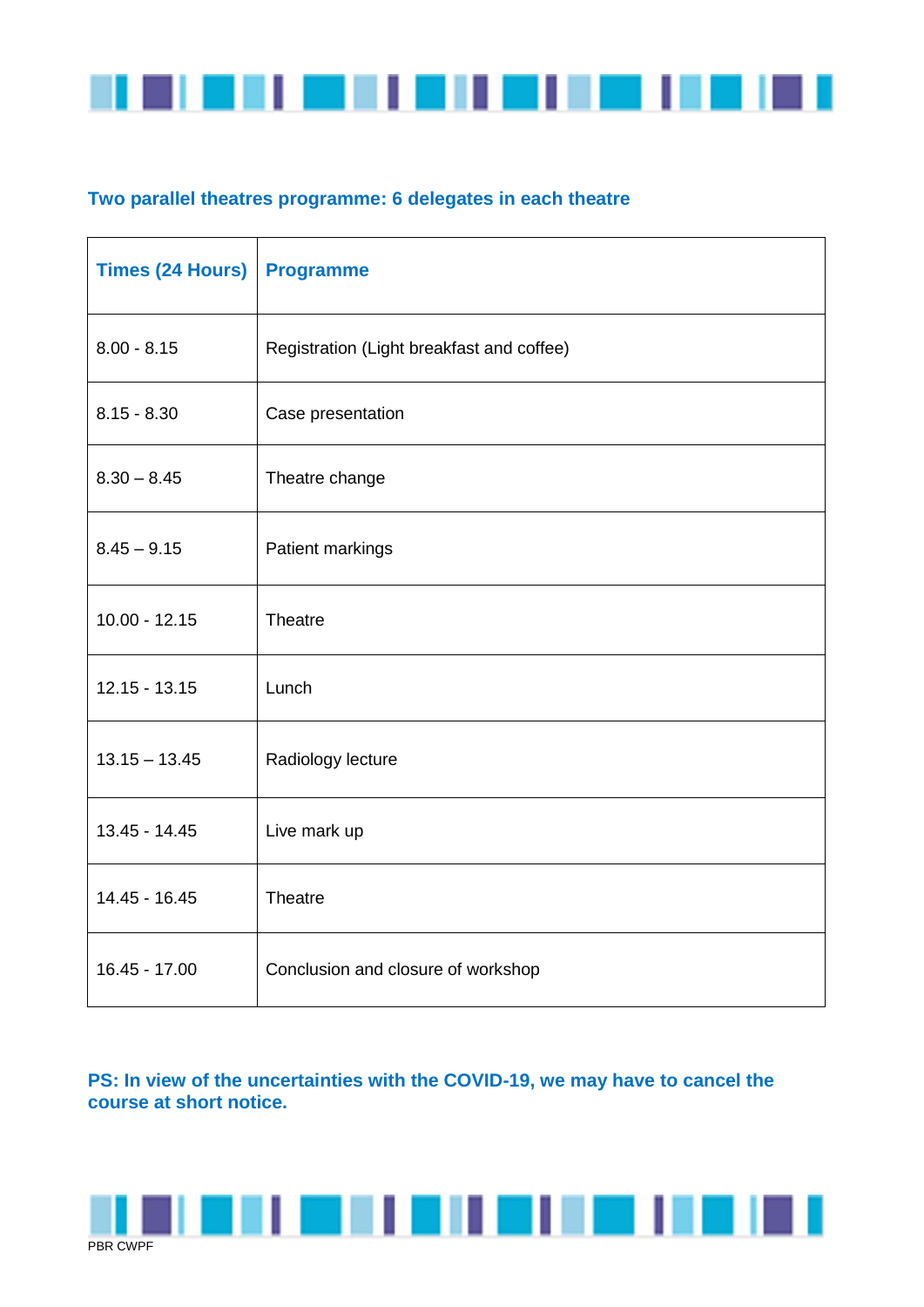

# **Two parallel theatres programme: 6 delegates in each theatre**

| <b>Times (24 Hours)</b> | <b>Programme</b>                          |
|-------------------------|-------------------------------------------|
| $8.00 - 8.15$           | Registration (Light breakfast and coffee) |
| $8.15 - 8.30$           | Case presentation                         |
| $8.30 - 8.45$           | Theatre change                            |
| $8.45 - 9.15$           | Patient markings                          |
| $10.00 - 12.15$         | Theatre                                   |
| $12.15 - 13.15$         | Lunch                                     |
| $13.15 - 13.45$         | Radiology lecture                         |
| 13.45 - 14.45           | Live mark up                              |
| 14.45 - 16.45           | Theatre                                   |
| 16.45 - 17.00           | Conclusion and closure of workshop        |

# **PS: In view of the uncertainties with the COVID-19, we may have to cancel the course at short notice.**